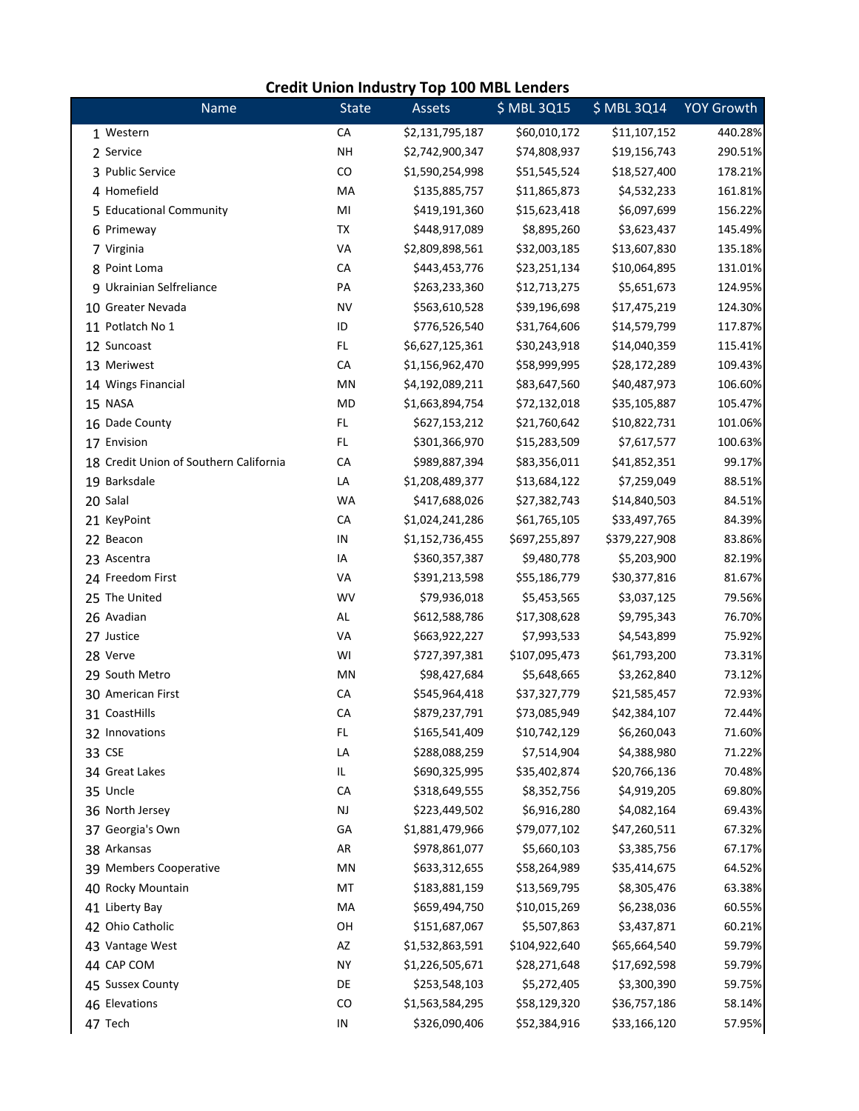|                                        | <b>Credit Union Industry Top 100 MBL Lenders</b> |                 |               |               |                   |  |  |  |  |
|----------------------------------------|--------------------------------------------------|-----------------|---------------|---------------|-------------------|--|--|--|--|
| Name                                   | <b>State</b>                                     | Assets          | \$ MBL 3Q15   | \$ MBL 3Q14   | <b>YOY Growth</b> |  |  |  |  |
| 1 Western                              | CA                                               | \$2,131,795,187 | \$60,010,172  | \$11,107,152  | 440.28%           |  |  |  |  |
| 2 Service                              | <b>NH</b>                                        | \$2,742,900,347 | \$74,808,937  | \$19,156,743  | 290.51%           |  |  |  |  |
| 3 Public Service                       | CO                                               | \$1,590,254,998 | \$51,545,524  | \$18,527,400  | 178.21%           |  |  |  |  |
| 4 Homefield                            | MA                                               | \$135,885,757   | \$11,865,873  | \$4,532,233   | 161.81%           |  |  |  |  |
| 5 Educational Community                | MI                                               | \$419,191,360   | \$15,623,418  | \$6,097,699   | 156.22%           |  |  |  |  |
| 6 Primeway                             | TX                                               | \$448,917,089   | \$8,895,260   | \$3,623,437   | 145.49%           |  |  |  |  |
| 7 Virginia                             | VA                                               | \$2,809,898,561 | \$32,003,185  | \$13,607,830  | 135.18%           |  |  |  |  |
| 8 Point Loma                           | CA                                               | \$443,453,776   | \$23,251,134  | \$10,064,895  | 131.01%           |  |  |  |  |
| 9 Ukrainian Selfreliance               | PA                                               | \$263,233,360   | \$12,713,275  | \$5,651,673   | 124.95%           |  |  |  |  |
| 10 Greater Nevada                      | <b>NV</b>                                        | \$563,610,528   | \$39,196,698  | \$17,475,219  | 124.30%           |  |  |  |  |
| 11 Potlatch No 1                       | ID                                               | \$776,526,540   | \$31,764,606  | \$14,579,799  | 117.87%           |  |  |  |  |
| 12 Suncoast                            | FL.                                              | \$6,627,125,361 | \$30,243,918  | \$14,040,359  | 115.41%           |  |  |  |  |
| 13 Meriwest                            | CA                                               | \$1,156,962,470 | \$58,999,995  | \$28,172,289  | 109.43%           |  |  |  |  |
| 14 Wings Financial                     | MN                                               | \$4,192,089,211 | \$83,647,560  | \$40,487,973  | 106.60%           |  |  |  |  |
| 15 NASA                                | MD                                               | \$1,663,894,754 | \$72,132,018  | \$35,105,887  | 105.47%           |  |  |  |  |
| 16 Dade County                         | FL                                               | \$627,153,212   | \$21,760,642  | \$10,822,731  | 101.06%           |  |  |  |  |
| 17 Envision                            | FL.                                              | \$301,366,970   | \$15,283,509  | \$7,617,577   | 100.63%           |  |  |  |  |
| 18 Credit Union of Southern California | CA                                               | \$989,887,394   | \$83,356,011  | \$41,852,351  | 99.17%            |  |  |  |  |
| 19 Barksdale                           | LA                                               | \$1,208,489,377 | \$13,684,122  | \$7,259,049   | 88.51%            |  |  |  |  |
| 20 Salal                               | <b>WA</b>                                        | \$417,688,026   | \$27,382,743  | \$14,840,503  | 84.51%            |  |  |  |  |
| 21 KeyPoint                            | CA                                               | \$1,024,241,286 | \$61,765,105  | \$33,497,765  | 84.39%            |  |  |  |  |
| 22 Beacon                              | IN                                               | \$1,152,736,455 | \$697,255,897 | \$379,227,908 | 83.86%            |  |  |  |  |
| 23 Ascentra                            | IA                                               | \$360,357,387   | \$9,480,778   | \$5,203,900   | 82.19%            |  |  |  |  |
| 24 Freedom First                       | VA                                               | \$391,213,598   | \$55,186,779  | \$30,377,816  | 81.67%            |  |  |  |  |
| 25 The United                          | WV                                               | \$79,936,018    | \$5,453,565   | \$3,037,125   | 79.56%            |  |  |  |  |
| 26 Avadian                             | AL                                               | \$612,588,786   | \$17,308,628  | \$9,795,343   | 76.70%            |  |  |  |  |
| 27 Justice                             | VA                                               | \$663,922,227   | \$7,993,533   | \$4,543,899   | 75.92%            |  |  |  |  |
| 28 Verve                               | WI                                               | \$727,397,381   | \$107,095,473 | \$61,793,200  | 73.31%            |  |  |  |  |
| 29 South Metro                         | MN                                               | \$98,427,684    | \$5,648,665   | \$3,262,840   | 73.12%            |  |  |  |  |
| 30 American First                      | CA                                               | \$545,964,418   | \$37,327,779  | \$21,585,457  | 72.93%            |  |  |  |  |
| 31 CoastHills                          | CА                                               | \$879,237,791   | \$73,085,949  | \$42,384,107  | 72.44%            |  |  |  |  |
| 32 Innovations                         | FL.                                              | \$165,541,409   | \$10,742,129  | \$6,260,043   | 71.60%            |  |  |  |  |
| 33 CSE                                 | LA                                               | \$288,088,259   | \$7,514,904   | \$4,388,980   | 71.22%            |  |  |  |  |
| 34 Great Lakes                         | IL.                                              | \$690,325,995   | \$35,402,874  | \$20,766,136  | 70.48%            |  |  |  |  |
| 35 Uncle                               | CA                                               | \$318,649,555   | \$8,352,756   | \$4,919,205   | 69.80%            |  |  |  |  |
| 36 North Jersey                        | $\mathsf{NJ}$                                    | \$223,449,502   | \$6,916,280   | \$4,082,164   | 69.43%            |  |  |  |  |
| 37 Georgia's Own                       | GA                                               | \$1,881,479,966 | \$79,077,102  | \$47,260,511  | 67.32%            |  |  |  |  |
| 38 Arkansas                            | AR                                               | \$978,861,077   | \$5,660,103   | \$3,385,756   | 67.17%            |  |  |  |  |
| 39 Members Cooperative                 | MN                                               | \$633,312,655   | \$58,264,989  | \$35,414,675  | 64.52%            |  |  |  |  |
| 40 Rocky Mountain                      | MT                                               | \$183,881,159   | \$13,569,795  | \$8,305,476   | 63.38%            |  |  |  |  |
| 41 Liberty Bay                         | MA                                               | \$659,494,750   | \$10,015,269  | \$6,238,036   | 60.55%            |  |  |  |  |
| 42 Ohio Catholic                       | OH                                               | \$151,687,067   | \$5,507,863   | \$3,437,871   | 60.21%            |  |  |  |  |
| 43 Vantage West                        | AZ                                               | \$1,532,863,591 | \$104,922,640 | \$65,664,540  | 59.79%            |  |  |  |  |
| 44 CAP COM                             | <b>NY</b>                                        | \$1,226,505,671 | \$28,271,648  | \$17,692,598  | 59.79%            |  |  |  |  |
| 45 Sussex County                       | DE                                               | \$253,548,103   | \$5,272,405   | \$3,300,390   | 59.75%            |  |  |  |  |
| 46 Elevations                          | CO                                               | \$1,563,584,295 | \$58,129,320  | \$36,757,186  | 58.14%            |  |  |  |  |
| 47 Tech                                | IN                                               | \$326,090,406   | \$52,384,916  | \$33,166,120  | 57.95%            |  |  |  |  |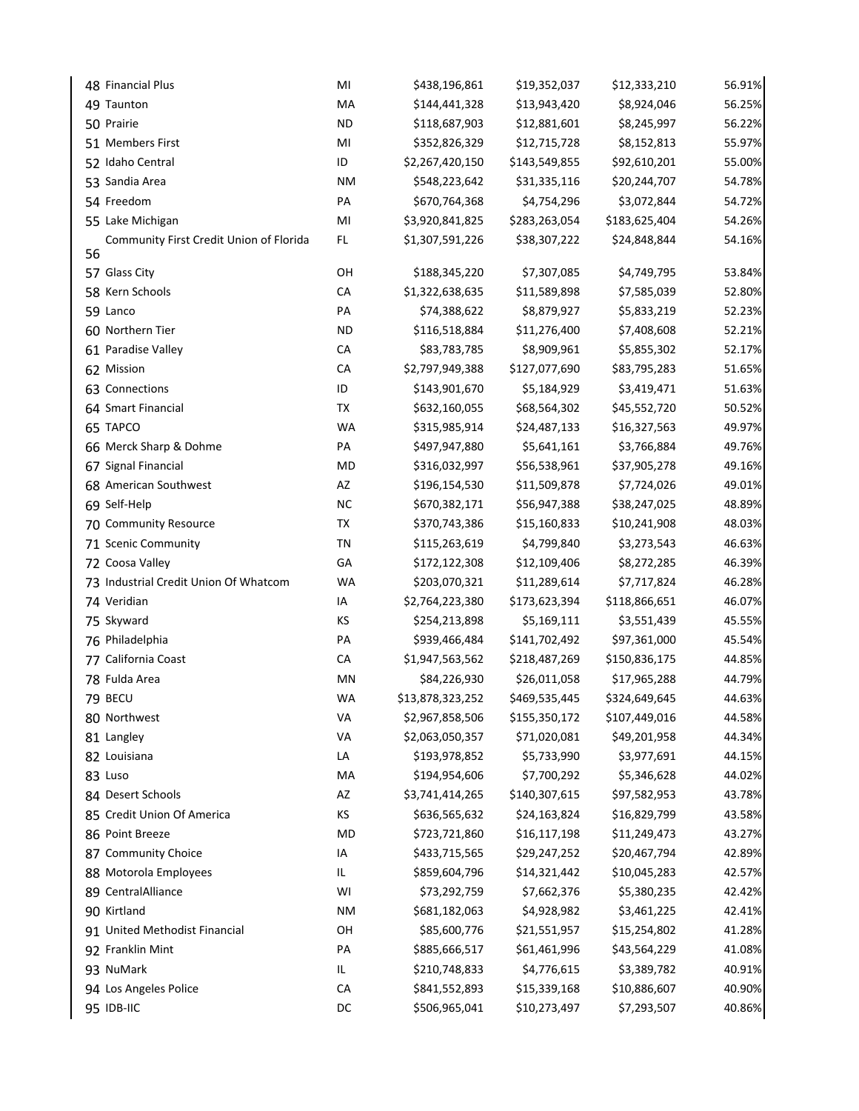| 48 Financial Plus                       | MI        | \$438,196,861    | \$19,352,037  | \$12,333,210  | 56.91% |
|-----------------------------------------|-----------|------------------|---------------|---------------|--------|
| 49 Taunton                              | MA        | \$144,441,328    | \$13,943,420  | \$8,924,046   | 56.25% |
| 50 Prairie                              | <b>ND</b> | \$118,687,903    | \$12,881,601  | \$8,245,997   | 56.22% |
| 51 Members First                        | MI        | \$352,826,329    | \$12,715,728  | \$8,152,813   | 55.97% |
| 52 Idaho Central                        | ID        | \$2,267,420,150  | \$143,549,855 | \$92,610,201  | 55.00% |
| 53 Sandia Area                          | <b>NM</b> | \$548,223,642    | \$31,335,116  | \$20,244,707  | 54.78% |
| 54 Freedom                              | PA        | \$670,764,368    | \$4,754,296   | \$3,072,844   | 54.72% |
| 55 Lake Michigan                        | MI        | \$3,920,841,825  | \$283,263,054 | \$183,625,404 | 54.26% |
| Community First Credit Union of Florida | FL.       | \$1,307,591,226  | \$38,307,222  | \$24,848,844  | 54.16% |
| 56                                      |           |                  |               |               |        |
| 57 Glass City                           | OH        | \$188,345,220    | \$7,307,085   | \$4,749,795   | 53.84% |
| 58 Kern Schools                         | CA        | \$1,322,638,635  | \$11,589,898  | \$7,585,039   | 52.80% |
| 59 Lanco                                | PA        | \$74,388,622     | \$8,879,927   | \$5,833,219   | 52.23% |
| 60 Northern Tier                        | <b>ND</b> | \$116,518,884    | \$11,276,400  | \$7,408,608   | 52.21% |
| 61 Paradise Valley                      | CA        | \$83,783,785     | \$8,909,961   | \$5,855,302   | 52.17% |
| 62 Mission                              | CA        | \$2,797,949,388  | \$127,077,690 | \$83,795,283  | 51.65% |
| 63 Connections                          | ID        | \$143,901,670    | \$5,184,929   | \$3,419,471   | 51.63% |
| 64 Smart Financial                      | TX        | \$632,160,055    | \$68,564,302  | \$45,552,720  | 50.52% |
| 65 TAPCO                                | <b>WA</b> | \$315,985,914    | \$24,487,133  | \$16,327,563  | 49.97% |
| 66 Merck Sharp & Dohme                  | PA        | \$497,947,880    | \$5,641,161   | \$3,766,884   | 49.76% |
| 67 Signal Financial                     | MD        | \$316,032,997    | \$56,538,961  | \$37,905,278  | 49.16% |
| 68 American Southwest                   | AZ        | \$196,154,530    | \$11,509,878  | \$7,724,026   | 49.01% |
| 69 Self-Help                            | <b>NC</b> | \$670,382,171    | \$56,947,388  | \$38,247,025  | 48.89% |
| 70 Community Resource                   | TX        | \$370,743,386    | \$15,160,833  | \$10,241,908  | 48.03% |
| 71 Scenic Community                     | TN        | \$115,263,619    | \$4,799,840   | \$3,273,543   | 46.63% |
| 72 Coosa Valley                         | GA        | \$172,122,308    | \$12,109,406  | \$8,272,285   | 46.39% |
| 73 Industrial Credit Union Of Whatcom   | <b>WA</b> | \$203,070,321    | \$11,289,614  | \$7,717,824   | 46.28% |
| 74 Veridian                             | IA        | \$2,764,223,380  | \$173,623,394 | \$118,866,651 | 46.07% |
| 75 Skyward                              | ΚS        | \$254,213,898    | \$5,169,111   | \$3,551,439   | 45.55% |
| 76 Philadelphia                         | PA        | \$939,466,484    | \$141,702,492 | \$97,361,000  | 45.54% |
| 77 California Coast                     | CA        | \$1,947,563,562  | \$218,487,269 | \$150,836,175 | 44.85% |
| 78 Fulda Area                           | MN        | \$84,226,930     | \$26,011,058  | \$17,965,288  | 44.79% |
| 79 BECU                                 | <b>WA</b> | \$13,878,323,252 | \$469,535,445 | \$324,649,645 | 44.63% |
| 80 Northwest                            | VA        | \$2,967,858,506  | \$155,350,172 | \$107,449,016 | 44.58% |
| 81 Langley                              | VA        | \$2,063,050,357  | \$71,020,081  | \$49,201,958  | 44.34% |
| 82 Louisiana                            | LA        | \$193,978,852    | \$5,733,990   | \$3,977,691   | 44.15% |
| 83 Luso                                 | MA        | \$194,954,606    | \$7,700,292   | \$5,346,628   | 44.02% |
| 84 Desert Schools                       | AZ        | \$3,741,414,265  | \$140,307,615 | \$97,582,953  | 43.78% |
| 85 Credit Union Of America              | ΚS        | \$636,565,632    | \$24,163,824  | \$16,829,799  | 43.58% |
| 86 Point Breeze                         | MD        | \$723,721,860    | \$16,117,198  | \$11,249,473  | 43.27% |
| 87 Community Choice                     | IA        | \$433,715,565    | \$29,247,252  | \$20,467,794  | 42.89% |
| 88 Motorola Employees                   | IL.       | \$859,604,796    | \$14,321,442  | \$10,045,283  | 42.57% |
| 89 CentralAlliance                      | WI        | \$73,292,759     | \$7,662,376   | \$5,380,235   | 42.42% |
| 90 Kirtland                             | ΝM        | \$681,182,063    | \$4,928,982   | \$3,461,225   | 42.41% |
| 91 United Methodist Financial           | OH        | \$85,600,776     | \$21,551,957  | \$15,254,802  | 41.28% |
| 92 Franklin Mint                        | PA        | \$885,666,517    | \$61,461,996  | \$43,564,229  | 41.08% |
| 93 NuMark                               | IL        | \$210,748,833    | \$4,776,615   | \$3,389,782   | 40.91% |
| 94 Los Angeles Police                   | CA        | \$841,552,893    | \$15,339,168  | \$10,886,607  | 40.90% |
| 95 IDB-IIC                              | DC        | \$506,965,041    | \$10,273,497  | \$7,293,507   | 40.86% |